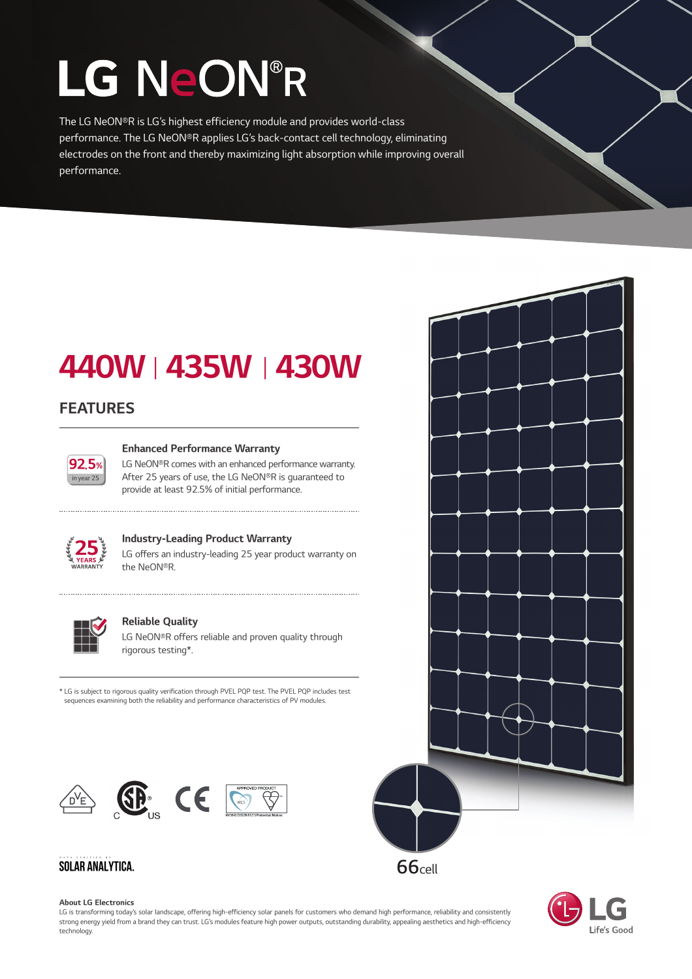# LG NeON®R

The LG NeON®R is LG's highest efficiency module and provides world-class performance. The LG NeON®R applies LG's back-contact cell technology, eliminating electrodes on the front and thereby maximizing light absorption while improving overall performance.

### 440WⅠ435WⅠ430W

#### FEATURES



#### Enhanced Performance Warranty

LG NeON®R comes with an enhanced performance warranty. After 25 years of use, the LG NeON®R is guaranteed to provide at least 92.5% of initial performance.



#### Industry-Leading Product Warranty

LG offers an industry-leading 25 year product warranty on the NeON®R.



#### Reliable Quality

LG NeON®R offers reliable and proven quality through rigorous testing\*.

\* LG is subject to rigorous quality verification through PVEL PQP test. The PVEL PQP includes test sequences examining both the reliability and performance characteristics of PV modules.



#### **SOLAR ANALYTICA.**

#### About LG Electronics

LG is transforming today's solar landscape, offering high-efficiency solar panels for customers who demand high performance, reliability and consistently strong energy yield from a brand they can trust. LG's modules feature high power outputs, outstanding durability, appealing aesthetics and high-efficiency technology.